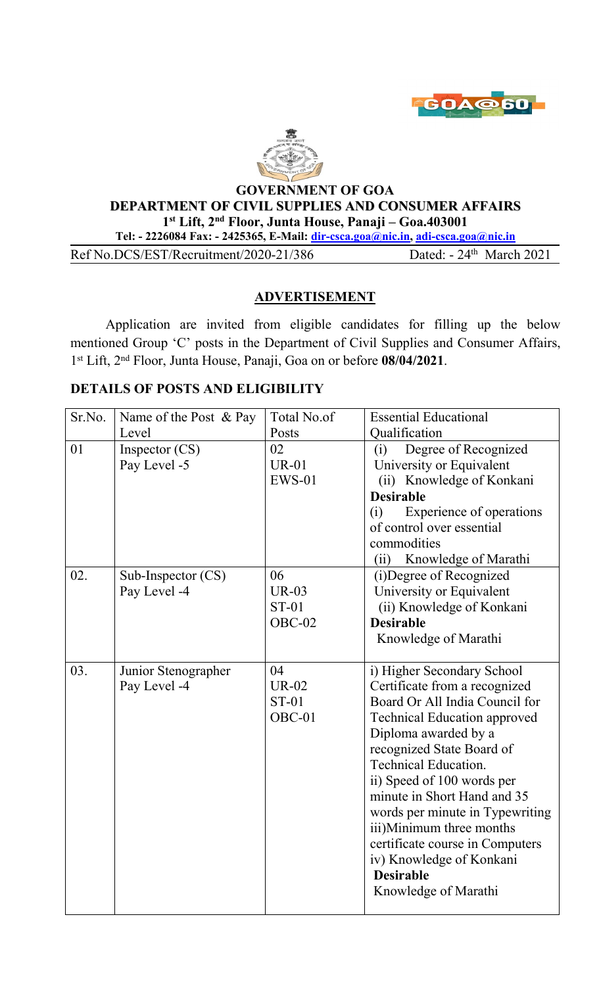



### **GOVERNMENT OF GOA DEPARTMENT OF CIVIL SUPPLIES AND CONSUMER AFFAIRS 1 st Lift, 2 nd Floor, Junta House, Panaji – Goa.403001 Tel: - 2226084 Fax: - 2425365, E-Mail: [dir-csca.goa@nic.in](mailto:dir-csca.goa@nic.in), [adi-csca.goa@nic.in](mailto:adi-csca.goa@nic.in)**

Ref No.DCS/EST/Recruitment/2020-21/386 Dated:  $-24$ <sup>th</sup> March 2021

# **ADVERTISEMENT**

Application are invited from eligible candidates for filling up the below mentioned Group 'C' posts in the Department of Civil Supplies and Consumer Affairs, 1 st Lift, 2 nd Floor, Junta House, Panaji, Goa on or before **08/04/2021**.

# **DETAILS OF POSTS AND ELIGIBILITY**

| Sr.No. | Name of the Post & Pay               | Total No.of                                    | <b>Essential Educational</b>                                                                                                                                                                                                                                                                                                                                                                                                                                    |
|--------|--------------------------------------|------------------------------------------------|-----------------------------------------------------------------------------------------------------------------------------------------------------------------------------------------------------------------------------------------------------------------------------------------------------------------------------------------------------------------------------------------------------------------------------------------------------------------|
|        | Level                                | Posts                                          | Qualification                                                                                                                                                                                                                                                                                                                                                                                                                                                   |
| 01     | Inspector $(CS)$<br>Pay Level -5     | 02<br><b>UR-01</b><br>$EWS-01$                 | Degree of Recognized<br>(i)<br>University or Equivalent<br>(ii) Knowledge of Konkani<br><b>Desirable</b><br>Experience of operations<br>(i)<br>of control over essential<br>commodities<br>Knowledge of Marathi<br>(ii)                                                                                                                                                                                                                                         |
| 02.    | Sub-Inspector $(CS)$<br>Pay Level -4 | 06<br><b>UR-03</b><br><b>ST-01</b><br>$OBC-02$ | (i) Degree of Recognized<br>University or Equivalent<br>(ii) Knowledge of Konkani<br><b>Desirable</b><br>Knowledge of Marathi                                                                                                                                                                                                                                                                                                                                   |
| 03.    | Junior Stenographer<br>Pay Level -4  | 04<br><b>UR-02</b><br><b>ST-01</b><br>OBC-01   | i) Higher Secondary School<br>Certificate from a recognized<br>Board Or All India Council for<br><b>Technical Education approved</b><br>Diploma awarded by a<br>recognized State Board of<br><b>Technical Education.</b><br>ii) Speed of 100 words per<br>minute in Short Hand and 35<br>words per minute in Typewriting<br>iii)Minimum three months<br>certificate course in Computers<br>iv) Knowledge of Konkani<br><b>Desirable</b><br>Knowledge of Marathi |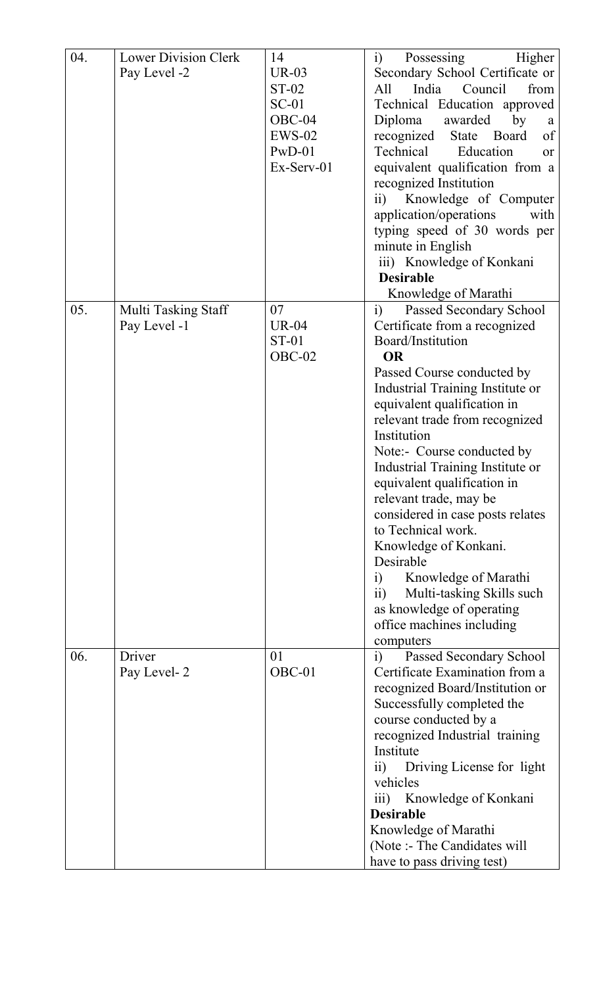| 04. | <b>Lower Division Clerk</b> | 14             | Possessing<br>Higher<br>$\ddot{1}$                   |  |
|-----|-----------------------------|----------------|------------------------------------------------------|--|
|     | Pay Level -2                | $UR-03$        | Secondary School Certificate or                      |  |
|     |                             | <b>ST-02</b>   | India<br>Council<br>All<br>from                      |  |
|     |                             | $SC-01$        | Technical Education approved                         |  |
|     |                             | $OBC-04$       | Diploma<br>awarded<br>by                             |  |
|     |                             |                | a                                                    |  |
|     |                             | $EWS-02$       | recognized<br>State Board<br>of                      |  |
|     |                             | $PwD-01$       | Technical<br>Education<br><sub>or</sub>              |  |
|     |                             | $Ex-Server-01$ | equivalent qualification from a                      |  |
|     |                             |                | recognized Institution                               |  |
|     |                             |                | ii) Knowledge of Computer                            |  |
|     |                             |                | application/operations<br>with                       |  |
|     |                             |                | typing speed of 30 words per                         |  |
|     |                             |                | minute in English                                    |  |
|     |                             |                | iii) Knowledge of Konkani                            |  |
|     |                             |                | <b>Desirable</b>                                     |  |
|     |                             |                | Knowledge of Marathi                                 |  |
| 05. | Multi Tasking Staff         | 07             | Passed Secondary School<br>i)                        |  |
|     | Pay Level -1                | <b>UR-04</b>   | Certificate from a recognized                        |  |
|     |                             | <b>ST-01</b>   | Board/Institution                                    |  |
|     |                             |                |                                                      |  |
|     |                             | $OBC-02$       | <b>OR</b>                                            |  |
|     |                             |                | Passed Course conducted by                           |  |
|     |                             |                | Industrial Training Institute or                     |  |
|     |                             |                | equivalent qualification in                          |  |
|     |                             |                | relevant trade from recognized                       |  |
|     |                             |                | Institution                                          |  |
|     |                             |                | Note:- Course conducted by                           |  |
|     |                             |                | Industrial Training Institute or                     |  |
|     |                             |                | equivalent qualification in                          |  |
|     |                             |                | relevant trade, may be                               |  |
|     |                             |                | considered in case posts relates                     |  |
|     |                             |                | to Technical work.                                   |  |
|     |                             |                |                                                      |  |
|     |                             |                | Knowledge of Konkani.                                |  |
|     |                             |                | Desirable                                            |  |
|     |                             |                | Knowledge of Marathi<br>$\left( \frac{1}{2} \right)$ |  |
|     |                             |                | $\overline{11}$<br>Multi-tasking Skills such         |  |
|     |                             |                | as knowledge of operating                            |  |
|     |                             |                | office machines including                            |  |
|     |                             |                | computers                                            |  |
| 06. | Driver                      | 01             | Passed Secondary School<br>$\ddot{1}$                |  |
|     | Pay Level-2                 | OBC-01         | Certificate Examination from a                       |  |
|     |                             |                | recognized Board/Institution or                      |  |
|     |                             |                | Successfully completed the                           |  |
|     |                             |                | course conducted by a                                |  |
|     |                             |                | recognized Industrial training                       |  |
|     |                             |                | Institute                                            |  |
|     |                             |                |                                                      |  |
|     |                             |                | Driving License for light<br>$\overline{11}$         |  |
|     |                             |                | vehicles                                             |  |
|     |                             |                | Knowledge of Konkani<br>$\overline{111}$ )           |  |
|     |                             |                | <b>Desirable</b>                                     |  |
|     |                             |                | Knowledge of Marathi                                 |  |
|     |                             |                | (Note :- The Candidates will                         |  |
|     |                             |                | have to pass driving test)                           |  |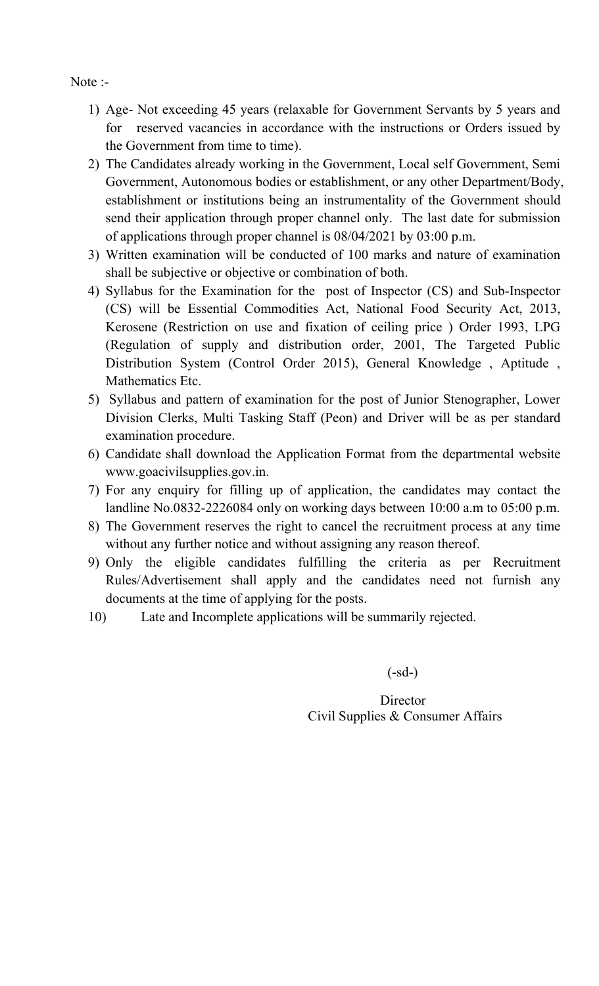Note :-

- 1) Age- Not exceeding 45 years (relaxable for Government Servants by 5 years and for reserved vacancies in accordance with the instructions or Orders issued by the Government from time to time).
- 2) The Candidates already working in the Government, Local self Government, Semi Government, Autonomous bodies or establishment, or any other Department/Body, establishment or institutions being an instrumentality of the Government should send their application through proper channel only. The last date for submission of applications through proper channel is 08/04/2021 by 03:00 p.m.
- 3) Written examination will be conducted of 100 marks and nature of examination shall be subjective or objective or combination of both.
- 4) Syllabus for the Examination for the post of Inspector (CS) and Sub-Inspector (CS) will be Essential Commodities Act, National Food Security Act, 2013, Kerosene (Restriction on use and fixation of ceiling price ) Order 1993, LPG (Regulation of supply and distribution order, 2001, The Targeted Public Distribution System (Control Order 2015), General Knowledge, Aptitude, Mathematics Etc.
- 5) Syllabus and pattern of examination for the post of Junior Stenographer, Lower Division Clerks, Multi Tasking Staff (Peon) and Driver will be as per standard examination procedure.
- 6) Candidate shall download the Application Format from the departmental website www.goacivilsupplies.gov.in.
- 7) For any enquiry for filling up of application, the candidates may contact the landline No.0832-2226084 only on working days between 10:00 a.m to 05:00 p.m.
- 8) The Government reserves the right to cancel the recruitment process at any time without any further notice and without assigning any reason thereof.
- 9) Only the eligible candidates fulfilling the criteria as per Recruitment Rules/Advertisement shall apply and the candidates need not furnish any documents at the time of applying for the posts.
- 10) Late and Incomplete applications will be summarily rejected.

 $(-sd-)$ 

# **Director** Civil Supplies & Consumer Affairs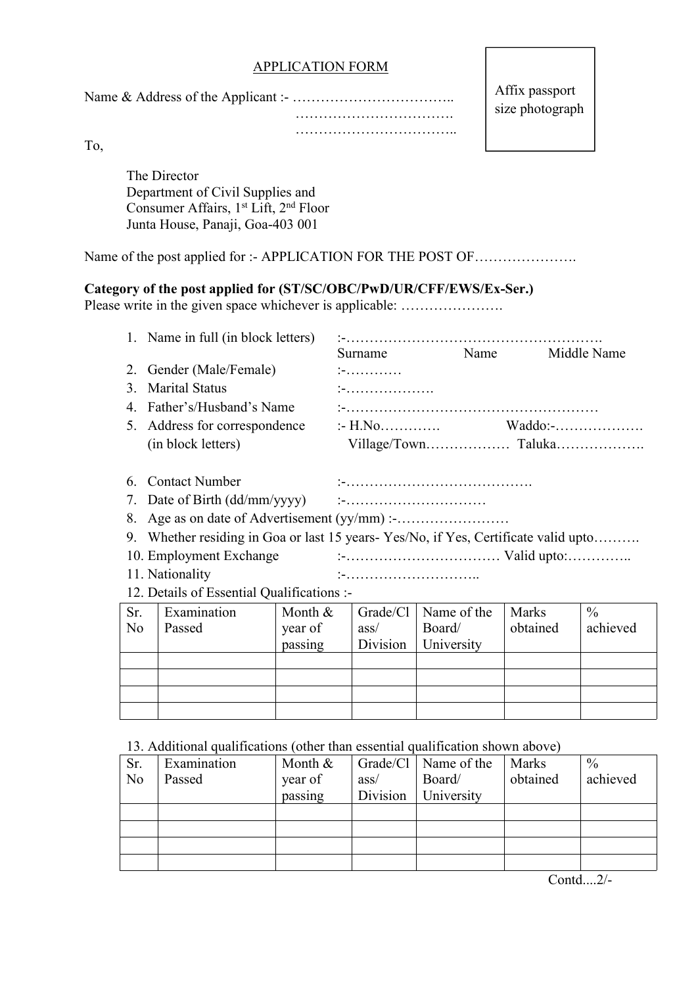#### APPLICATION FORM

Name & Address ofthe Applicant :- ……………………………..

Affix passport size photograph

……………………………. ……………………………..

To,

The Director Department of Civil Supplies and Consumer Affairs, 1<sup>st</sup> Lift, 2<sup>nd</sup> Floor Junta House, Panaji, Goa-403 001

Name of the post applied for :- APPLICATION FOR THE POST OF .....................

### **Category of the postapplied for (ST/SC/OBC/PwD/UR/CFF/EWS/Ex-Ser.)**

Please write in the given space whichever is applicable: ………………….

|                | 1. Name in full (in block letters)                                                 |            |          |             |              |               |
|----------------|------------------------------------------------------------------------------------|------------|----------|-------------|--------------|---------------|
|                |                                                                                    |            | Surname  | Name        |              | Middle Name   |
|                | 2. Gender (Male/Female)                                                            |            |          |             |              |               |
|                | 3. Marital Status                                                                  |            |          |             |              |               |
|                | 4. Father's/Husband's Name                                                         |            |          |             |              |               |
|                | 5. Address for correspondence                                                      |            |          |             |              |               |
|                | (in block letters)                                                                 |            |          |             |              |               |
|                |                                                                                    |            |          |             |              |               |
|                | 6. Contact Number                                                                  |            |          |             |              |               |
|                |                                                                                    |            |          |             |              |               |
|                |                                                                                    |            |          |             |              |               |
|                | 9. Whether residing in Goa or last 15 years-Yes/No, if Yes, Certificate valid upto |            |          |             |              |               |
|                |                                                                                    |            |          |             |              |               |
|                | 11. Nationality                                                                    |            |          |             |              |               |
|                | 12. Details of Essential Qualifications :-                                         |            |          |             |              |               |
| Sr.            | Examination                                                                        | Month $\&$ | Grade/Cl | Name of the | <b>Marks</b> | $\frac{0}{0}$ |
| N <sub>o</sub> | Passed                                                                             | year of    | ass/     | Board/      | obtained     | achieved      |
|                |                                                                                    | passing    | Division | University  |              |               |
|                |                                                                                    |            |          |             |              |               |

13. Additional qualifications (other than essential qualification shown above)

| Grade/Cl   Name of the<br>Sr.<br>$\frac{0}{0}$<br>Month &<br><b>Marks</b><br>Examination<br>obtained<br>achieved<br>year of<br>Board/<br>N <sub>o</sub><br>Passed<br>ass/<br>Division<br>University<br>passing |  |  |  |  |  |
|----------------------------------------------------------------------------------------------------------------------------------------------------------------------------------------------------------------|--|--|--|--|--|
|                                                                                                                                                                                                                |  |  |  |  |  |
|                                                                                                                                                                                                                |  |  |  |  |  |
|                                                                                                                                                                                                                |  |  |  |  |  |
|                                                                                                                                                                                                                |  |  |  |  |  |
|                                                                                                                                                                                                                |  |  |  |  |  |
|                                                                                                                                                                                                                |  |  |  |  |  |
|                                                                                                                                                                                                                |  |  |  |  |  |

Contd....2/-